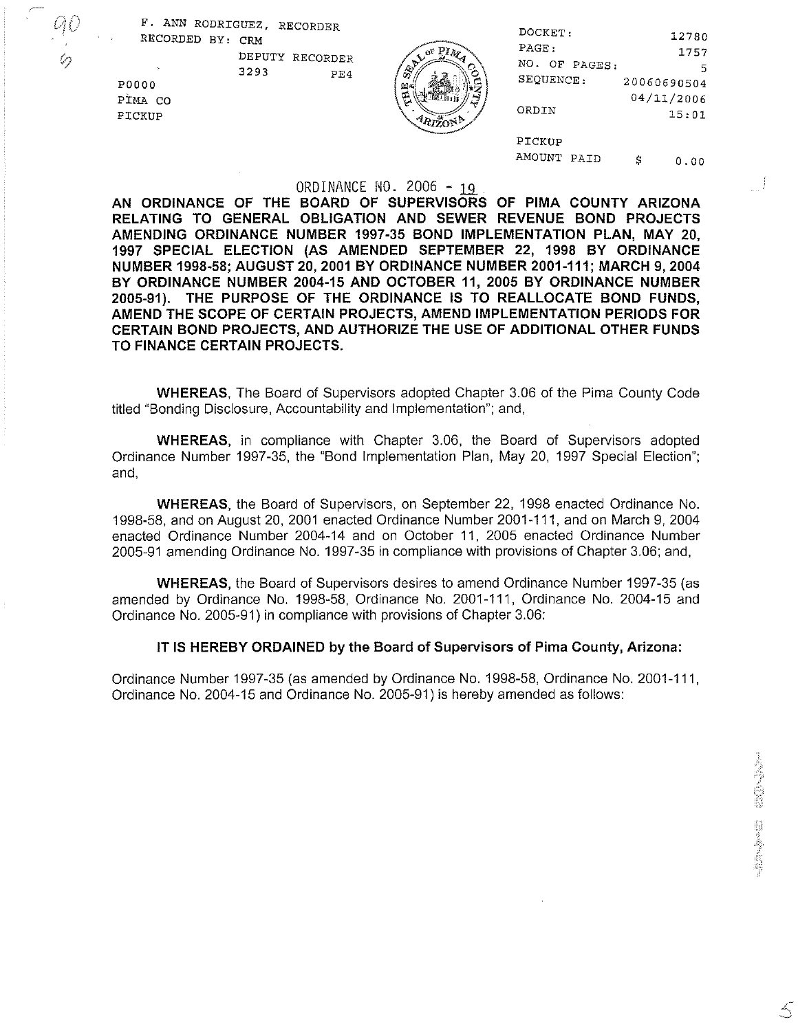F. ANN RODRIGUEZ, RECORDER RECORDED BY: CRM



| テレー<br>0 | RECORDED BY: CRM                  | ----------<br>DEPUTY RECORDER | <b>LANGARIA</b><br>$\sim$ PIM | DOCKET:<br>PAGE:<br>NO. OF PAGES: | 12780<br>1757<br>5                 |
|----------|-----------------------------------|-------------------------------|-------------------------------|-----------------------------------|------------------------------------|
|          | <b>P0000</b><br>PIMA CO<br>PICKUP | 3293<br>PE4                   | ĹΩ, π<br>R.                   | SEQUENCE:<br>ORDIN                | 20060690504<br>04/11/2006<br>15:01 |
|          |                                   |                               |                               | PICKUP<br>AMOUNT PAID             | S<br>0.00                          |

## ORDINANCE NO. 2006 -

AN ORDINANCE OF THE BOARD OF SUPERVISORS OF PlMA COUNTY ARIZONA RELATING TO GENERAL OBLIGATION AND SEWER REVENUE BOND PROJECTS AMENDING ORDINANCE NUMBER **1997-35** BOND IMPLEMENTATION PLAN, MAY **20, 1997** SPECIAL ELECTION (AS AMENDED SEPTEMBER **22, 1998** BY ORDINANCE NUMBER **1998-58;** AUGUST **20,2001** BY ORDINANCE NUMBER **2001-111;** MARCH **9,2004**  BY ORDINANCE NUMBER **2004-15** AND OCTOBER **11, 2005** BY ORDINANCE NUMBER **2005-91).** THE PURPOSE OF THE ORDINANCE IS TO REALLOCATE BOND FUNDS, AMEND THE SCOPE OF CERTAIN PROJECTS, AMEND IMPLEMENTATION PERIODS FOR CERTAIN BOND PROJECTS, AND AUTHORIZE THE USE OF ADDITIONAL OTHER FUNDS TO FINANCE CERTAIN PROJECTS.

WHEREAS, The Board of Supervisors adopted Chapter 3.06 of the Pima County Code titled "Bonding Disclosure, Accountability and Implementation"; and,

WHEREAS, in compliance with Chapter 3.06, the Board of Supervisors adopted Ordinance Number 1997-35, the "Bond Implementation Plan, May 20, 1997 Special Election"; and,

WHEREAS, the Board of Supervisors, on September 22, 1998 enacted Ordinance No. 1998-58, and on August 20, 2001 enacted Ordinance Number 2001-11 1, and on March 9,2004 enacted Ordinance Number 2004-14 and on October 11, 2005 enacted Ordinance Number 2005-91 amending Ordinance No. 1997-35 in compliance with provisions of Chapter 3.06; and,

WHEREAS, the Board of Supervisors desires to amend Ordinance Number 1997-35 (as amended by Ordinance No. 1998-58, Ordinance No. 2001-11 1, Ordinance No. 2004-15 and Ordinance No. 2005-91) in compliance with provisions of Chapter 3.06:

## IT IS HEREBY ORDAINED by the Board of Supervisors of Pima County, Arizona:

Ordinance Number 1997-35 (as amended by Ordinance No. 1998-58, Ordinance No. 2001-111, Ordinance No. 2004-15 and Ordinance No. 2005-91) is hereby amended as follows:

5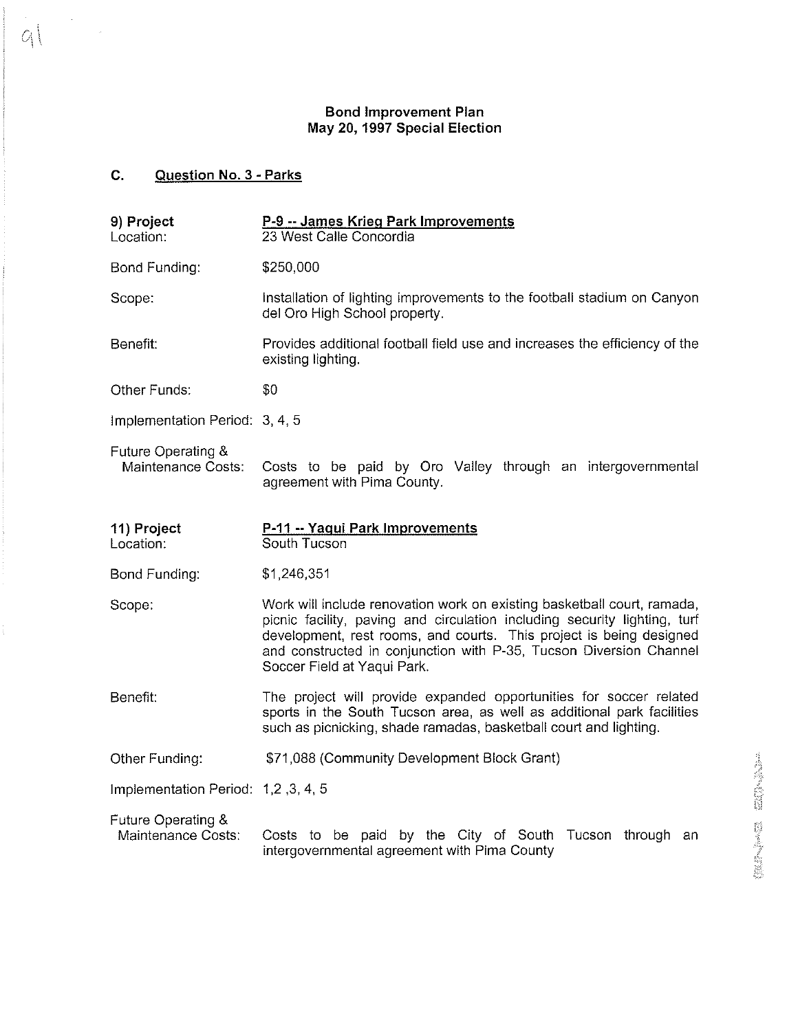## Bond Improvement Plan May **20,** 1997 Special Election

## **C.** Question No. 3 - Parks

 $\label{eq:2} \frac{d\mathbf{r}}{d\mathbf{r}} = \frac{1}{2} \mathbf{r} \mathbf{r}$ 

 $9$ 

ţ.

| 9) Project<br>Location:                         | P-9 -- James Krieg Park Improvements<br>23 West Calle Concordia                                                                                                                                                                                                                                                                  |                      |
|-------------------------------------------------|----------------------------------------------------------------------------------------------------------------------------------------------------------------------------------------------------------------------------------------------------------------------------------------------------------------------------------|----------------------|
| Bond Funding:                                   | \$250,000                                                                                                                                                                                                                                                                                                                        |                      |
| Scope:                                          | Installation of lighting improvements to the football stadium on Canyon<br>del Oro High School property.                                                                                                                                                                                                                         |                      |
| Benefit:                                        | Provides additional football field use and increases the efficiency of the<br>existing lighting.                                                                                                                                                                                                                                 |                      |
| Other Funds:                                    | \$0                                                                                                                                                                                                                                                                                                                              |                      |
| Implementation Period: 3, 4, 5                  |                                                                                                                                                                                                                                                                                                                                  |                      |
| Future Operating &<br><b>Maintenance Costs:</b> | Costs to be paid by Oro Valley through an intergovernmental<br>agreement with Pima County.                                                                                                                                                                                                                                       |                      |
| 11) Project<br>Location:                        | P-11 -- Yaqui Park Improvements<br>South Tucson                                                                                                                                                                                                                                                                                  |                      |
| Bond Funding:                                   | \$1,246,351                                                                                                                                                                                                                                                                                                                      |                      |
| Scope:                                          | Work will include renovation work on existing basketball court, ramada,<br>picnic facility, paving and circulation including security lighting, turf<br>development, rest rooms, and courts. This project is being designed<br>and constructed in conjunction with P-35, Tucson Diversion Channel<br>Soccer Field at Yaqui Park. |                      |
| Benefit:                                        | The project will provide expanded opportunities for soccer related<br>sports in the South Tucson area, as well as additional park facilities<br>such as picnicking, shade ramadas, basketball court and lighting.                                                                                                                |                      |
| Other Funding:                                  | \$71,088 (Community Development Block Grant)                                                                                                                                                                                                                                                                                     |                      |
| Implementation Period: 1,2, 3, 4, 5             |                                                                                                                                                                                                                                                                                                                                  |                      |
| Future Operating &<br>Maintenance Costs:        | Costs to be paid by the City of South Tucson through an<br>intergovernmental agreement with Pima County                                                                                                                                                                                                                          | <b>Algebra Maria</b> |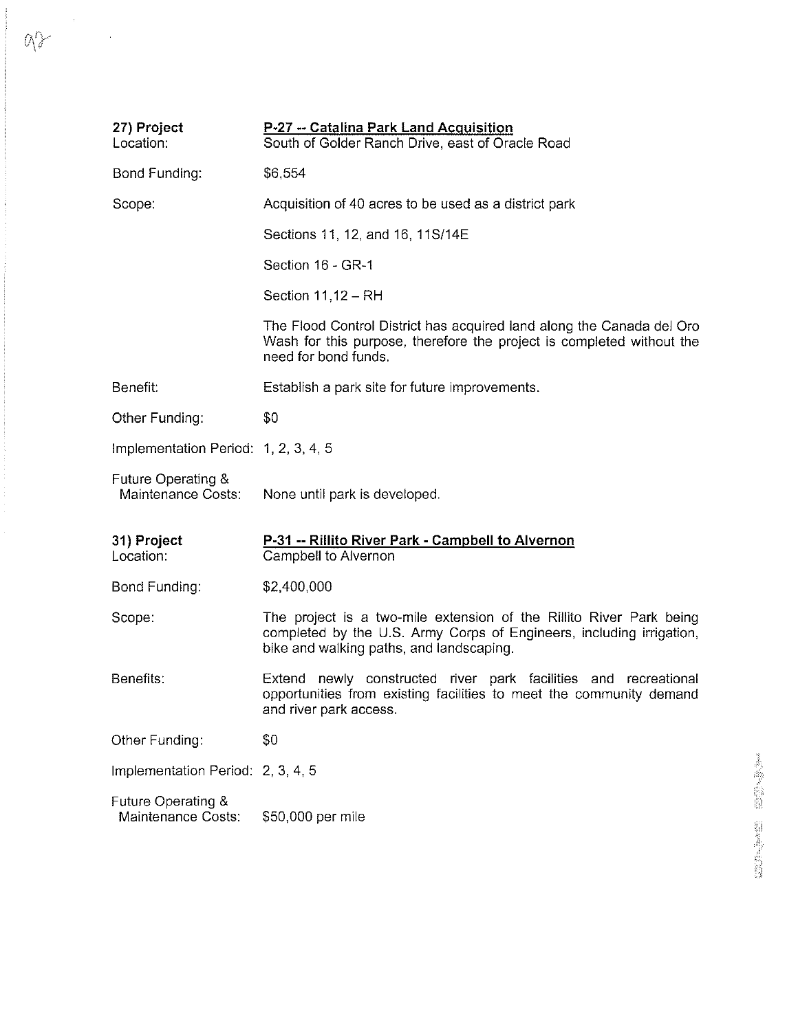| 27) Project<br>Location:                 | P-27 -- Catalina Park Land Acquisition<br>South of Golder Ranch Drive, east of Oracle Road                                                                                              |
|------------------------------------------|-----------------------------------------------------------------------------------------------------------------------------------------------------------------------------------------|
| Bond Funding:                            | \$6,554                                                                                                                                                                                 |
| Scope:                                   | Acquisition of 40 acres to be used as a district park                                                                                                                                   |
|                                          | Sections 11, 12, and 16, 11S/14E                                                                                                                                                        |
|                                          | Section 16 - GR-1                                                                                                                                                                       |
|                                          | Section 11,12 - RH                                                                                                                                                                      |
|                                          | The Flood Control District has acquired land along the Canada del Oro<br>Wash for this purpose, therefore the project is completed without the<br>need for bond funds.                  |
| Benefit:                                 | Establish a park site for future improvements.                                                                                                                                          |
| Other Funding:                           | \$0                                                                                                                                                                                     |
| Implementation Period: 1, 2, 3, 4, 5     |                                                                                                                                                                                         |
| Future Operating &<br>Maintenance Costs: | None until park is developed.                                                                                                                                                           |
| 31) Project<br>Location:                 | P-31 -- Rillito River Park - Campbell to Alvernon<br>Campbell to Alvernon                                                                                                               |
| Bond Funding:                            | \$2,400,000                                                                                                                                                                             |
| Scope:                                   | The project is a two-mile extension of the Rillito River Park being<br>completed by the U.S. Army Corps of Engineers, including irrigation,<br>bike and walking paths, and landscaping. |
| Benefits:                                | Extend newly constructed river park facilities and recreational<br>opportunities from existing facilities to meet the community demand<br>and river park access.                        |
| Other Funding:                           | \$0                                                                                                                                                                                     |
| Implementation Period: 2, 3, 4, 5        |                                                                                                                                                                                         |
| Future Operating &<br>Maintenance Costs: | \$50,000 per mile                                                                                                                                                                       |

 $Q\rightarrow$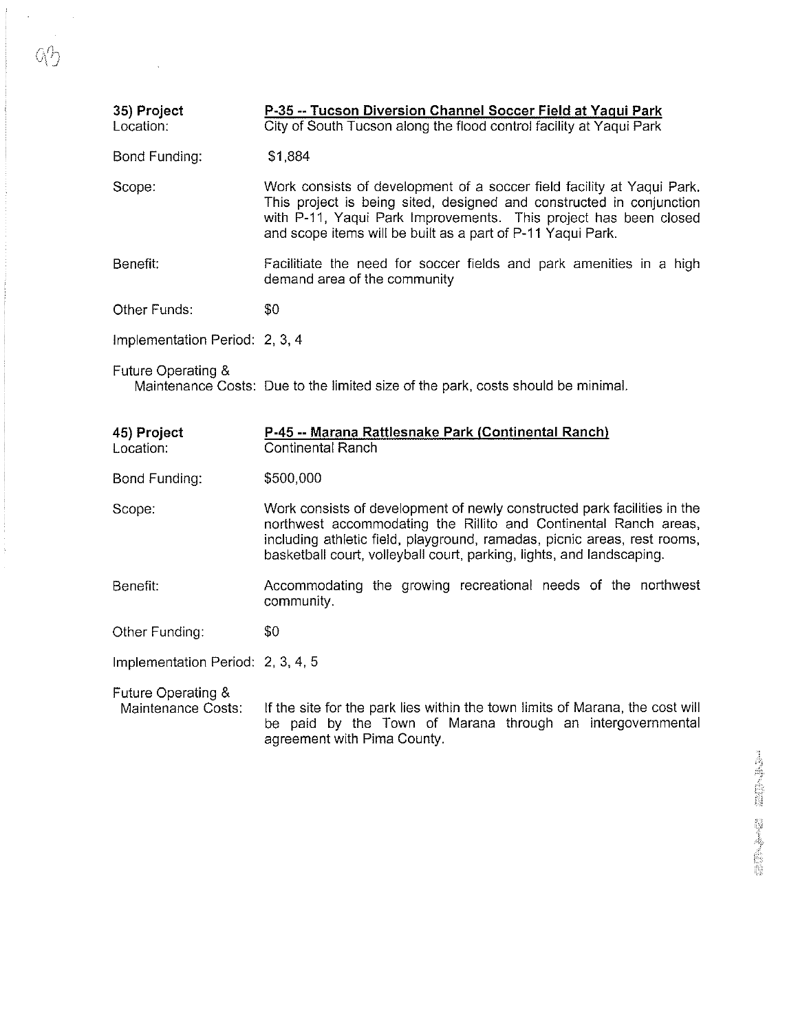| 35) Project<br>Location:          | P-35 -- Tucson Diversion Channel Soccer Field at Yaqui Park<br>City of South Tucson along the flood control facility at Yaqui Park                                                                                                                                                                |
|-----------------------------------|---------------------------------------------------------------------------------------------------------------------------------------------------------------------------------------------------------------------------------------------------------------------------------------------------|
| Bond Funding:                     | \$1,884                                                                                                                                                                                                                                                                                           |
| Scope:                            | Work consists of development of a soccer field facility at Yaqui Park.<br>This project is being sited, designed and constructed in conjunction<br>with P-11, Yaqui Park Improvements. This project has been closed<br>and scope items will be built as a part of P-11 Yaqui Park.                 |
| Benefit:                          | Facilitiate the need for soccer fields and park amenities in a high<br>demand area of the community                                                                                                                                                                                               |
| Other Funds:                      | \$0                                                                                                                                                                                                                                                                                               |
| Implementation Period: 2, 3, 4    |                                                                                                                                                                                                                                                                                                   |
| Future Operating &                | Maintenance Costs: Due to the limited size of the park, costs should be minimal.                                                                                                                                                                                                                  |
|                                   |                                                                                                                                                                                                                                                                                                   |
| 45) Project<br>Location:          | P-45 -- Marana Rattlesnake Park (Continental Ranch)<br><b>Continental Ranch</b>                                                                                                                                                                                                                   |
| Bond Funding:                     | \$500,000                                                                                                                                                                                                                                                                                         |
| Scope:                            | Work consists of development of newly constructed park facilities in the<br>northwest accommodating the Rillito and Continental Ranch areas,<br>including athletic field, playground, ramadas, picnic areas, rest rooms,<br>basketball court, volleyball court, parking, lights, and landscaping. |
| Benefit:                          | Accommodating the growing recreational needs of the northwest<br>community.                                                                                                                                                                                                                       |
| Other Funding:                    | \$0                                                                                                                                                                                                                                                                                               |
| Implementation Period: 2, 3, 4, 5 |                                                                                                                                                                                                                                                                                                   |